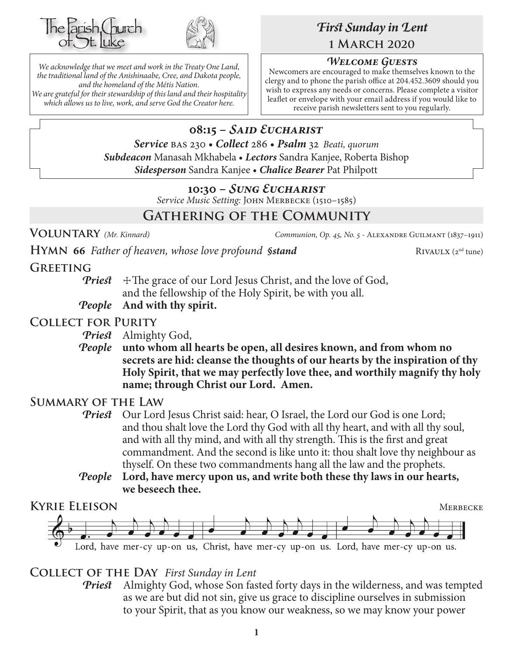



*We acknowledge that we meet and work in the Treaty One Land, the traditional land of the Anishinaabe, Cree, and Dakota people, and the homeland of the Métis Nation. We are grateful for their stewardship of this land and their hospitality which allows us to live, work, and serve God the Creator here.*

# *First Sunday in Lent* **1 March 2020**

## *Welcome Guests*

Newcomers are encouraged to make themselves known to the clergy and to phone the parish office at 204.452.3609 should you wish to express any needs or concerns. Please complete a visitor leaflet or envelope with your email address if you would like to receive parish newsletters sent to you regularly.

# **08:15 –** *Said Eucharist*

*Service* bas 230 • *Collect* 286 • *Psalm* 32 *Beati, quorum Subdeacon* Manasah Mkhabela • *Lectors* Sandra Kanjee, Roberta Bishop *Sidesperson* Sandra Kanjee • *Chalice Bearer* Pat Philpott

## **10:30 –** *Sung Eucharist*

*Service Music Setting:* John Merbecke (1510–1585)

# **Gathering of the Community**

**VOLUNTARY** *(Mr. Kinnard) Communion, Op. 45, No. 5* - ALEXANDRE GUILMANT (1837–1911)

**HYMN** 66 *Father of heaven, whose love profound §stand* RIVAULX (2<sup>nd</sup> tune)

## **Greeting**

**Priest**  $\pm$ The grace of our Lord Jesus Christ, and the love of God, and the fellowship of the Holy Spirit, be with you all.

*People* **And with thy spirit.**

## **Collect for Purity**

*Priest* Almighty God,

*People* **unto whom all hearts be open, all desires known, and from whom no secrets are hid: cleanse the thoughts of our hearts by the inspiration of thy Holy Spirit, that we may perfectly love thee, and worthily magnify thy holy name; through Christ our Lord. Amen.**

## **Summary of the Law**

- **Priest** Our Lord Jesus Christ said: hear, O Israel, the Lord our God is one Lord; and thou shalt love the Lord thy God with all thy heart, and with all thy soul, and with all thy mind, and with all thy strength. This is the first and great commandment. And the second is like unto it: thou shalt love thy neighbour as thyself. On these two commandments hang all the law and the prophets.
- *People* **Lord, have mercy upon us, and write both these thy laws in our hearts, we beseech thee.**



**Collect of the Day** *First Sunday in Lent*

*Priest* Almighty God, whose Son fasted forty days in the wilderness, and was tempted as we are but did not sin, give us grace to discipline ourselves in submission to your Spirit, that as you know our weakness, so we may know your power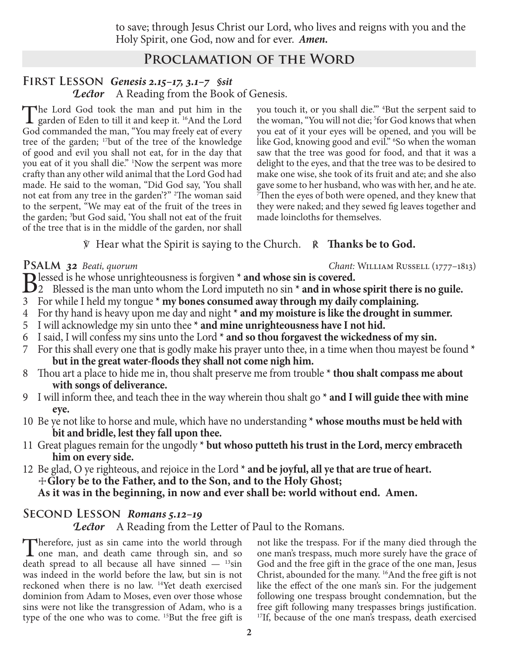to save; through Jesus Christ our Lord, who lives and reigns with you and the Holy Spirit, one God, now and for ever.*Amen.*

## **Proclamation of the Word**

#### **First Lesson** *Genesis 2.15–17, 3.1–7 §sit Lector* A Reading from the Book of Genesis.

The Lord God took the man and put him in the garden of Eden to till it and keep it. 16And the Lord God commanded the man, "You may freely eat of every tree of the garden; 17but of the tree of the knowledge of good and evil you shall not eat, for in the day that you eat of it you shall die." 1 Now the serpent was more crafty than any other wild animal that the Lord God had made. He said to the woman, "Did God say, 'You shall not eat from any tree in the garden'?" <sup>2</sup>The woman said to the serpent, "We may eat of the fruit of the trees in the garden; 3 but God said, 'You shall not eat of the fruit of the tree that is in the middle of the garden, nor shall

you touch it, or you shall die.'" 4 But the serpent said to the woman, "You will not die; 5 for God knows that when you eat of it your eyes will be opened, and you will be like God, knowing good and evil." 6 So when the woman saw that the tree was good for food, and that it was a delight to the eyes, and that the tree was to be desired to make one wise, she took of its fruit and ate; and she also gave some to her husband, who was with her, and he ate. 7 Then the eyes of both were opened, and they knew that they were naked; and they sewed fig leaves together and made loincloths for themselves.

#### ℣ Hear what the Spirit is saying to the Church. ℟ **Thanks be to God.**

**Psalm** *32 Beati, quorum Chant:* William Russell (1777–1813)

- Blessed is he whose unrighteousness is forgiven **\* and whose sin is covered.**<br>
2 Blessed is the man unto whom the Lord imputeth no sin **\* and in whose spirit there is no guile.**<br>
2 Equality Latel and the spirit of the spir
- 3 For while I held my tongue **\* my bones consumed away through my daily complaining.**
- 4 For thy hand is heavy upon me day and night **\* and my moisture is like the drought in summer.**
- 5 I will acknowledge my sin unto thee **\* and mine unrighteousness have I not hid.**
- 6 I said, I will confess my sins unto the Lord **\* and so thou forgavest the wickedness of my sin.**
- 7 For this shall every one that is godly make his prayer unto thee, in a time when thou mayest be found **\* but in the great water-floods they shall not come nigh him.**
- 8 Thou art a place to hide me in, thou shalt preserve me from trouble **\* thou shalt compass me about with songs of deliverance.**
- 9 I will inform thee, and teach thee in the way wherein thou shalt go **\* and I will guide thee with mine eye.**
- 10 Be ye not like to horse and mule, which have no understanding **\* whose mouths must be held with bit and bridle, lest they fall upon thee.**
- 11 Great plagues remain for the ungodly **\* but whoso putteth his trust in the Lord, mercy embraceth him on every side.**
- 12 Be glad, O ye righteous, and rejoice in the Lord **\* and be joyful, all ye that are true of heart.** ☩**Glory be to the Father, and to the Son, and to the Holy Ghost;**
	- **As it was in the beginning, in now and ever shall be: world without end. Amen.**

#### **Second Lesson** *Romans 5.12–19*

*Lector* A Reading from the Letter of Paul to the Romans.

Therefore, just as sin came into the world through<br>
one man, and death came through sin, and so<br>
death came all here is singled as liting death spread to all because all have sinned  $-$  <sup>13</sup>sin was indeed in the world before the law, but sin is not reckoned when there is no law. 14Yet death exercised dominion from Adam to Moses, even over those whose sins were not like the transgression of Adam, who is a type of the one who was to come. <sup>15</sup>But the free gift is

not like the trespass. For if the many died through the one man's trespass, much more surely have the grace of God and the free gift in the grace of the one man, Jesus Christ, abounded for the many. 16And the free gift is not like the effect of the one man's sin. For the judgement following one trespass brought condemnation, but the free gift following many trespasses brings justification. <sup>17</sup>If, because of the one man's trespass, death exercised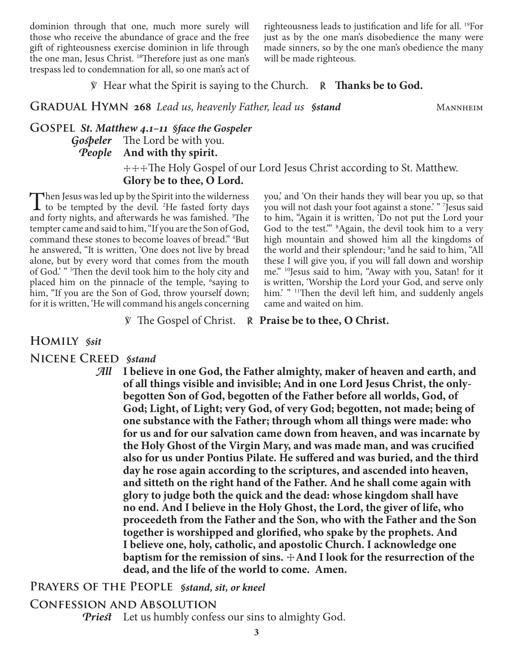dominion through that one, much more surely will those who receive the abundance of grace and the free gift of righteousness exercise dominion in life through the one man, Jesus Christ. 18Therefore just as one man's trespass led to condemnation for all, so one man's act of righteousness leads to justification and life for all. 19For just as by the one man's disobedience the many were made sinners, so by the one man's obedience the many will be made righteous.

℣ Hear what the Spirit is saying to the Church. ℟ **Thanks be to God.**

**GRADUAL HYMN 268** *Lead us, heavenly Father, lead us Sstand* MANNHEIM

## **Gospel** *St. Matthew 4.1–11 §face the Gospeler Gospeler* The Lord be with you. *People* **And with thy spirit.**

 ☩☩☩The Holy Gospel of our Lord Jesus Christ according to St. Matthew. **Glory be to thee, O Lord.**

Then Jesus was led up by the Spirit into the wilderness to be tempted by the devil. <sup>2</sup>He fasted forty days and forty nights, and afterwards he was famished. <sup>3</sup>The tempter came and said to him, "If you are the Son of God, command these stones to become loaves of bread." 4 But he answered, "It is written, 'One does not live by bread alone, but by every word that comes from the mouth of God.' " 5 Then the devil took him to the holy city and placed him on the pinnacle of the temple, <sup>6</sup>saying to him, "If you are the Son of God, throw yourself down; for it is written, 'He will command his angels concerning

you,' and 'On their hands they will bear you up, so that you will not dash your foot against a stone.' " 7 Jesus said to him, "Again it is written, 'Do not put the Lord your God to the test." <sup>8</sup>Again, the devil took him to a very high mountain and showed him all the kingdoms of the world and their splendour; <sup>9</sup> and he said to him, "All these I will give you, if you will fall down and worship me." 10Jesus said to him, "Away with you, Satan! for it is written, 'Worship the Lord your God, and serve only him.' " <sup>11</sup>Then the devil left him, and suddenly angels came and waited on him.

℣ The Gospel of Christ. ℟ **Praise be to thee, O Christ.**

#### **Homily** *§sit*

#### **Nicene Creed** *§stand*

*All* **I believe in one God, the Father almighty, maker of heaven and earth, and of all things visible and invisible; And in one Lord Jesus Christ, the onlybegotten Son of God, begotten of the Father before all worlds, God, of God; Light, of Light; very God, of very God; begotten, not made; being of one substance with the Father; through whom all things were made: who for us and for our salvation came down from heaven, and was incarnate by the Holy Ghost of the Virgin Mary, and was made man, and was crucified also for us under Pontius Pilate. He suffered and was buried, and the third day he rose again according to the scriptures, and ascended into heaven, and sitteth on the right hand of the Father. And he shall come again with glory to judge both the quick and the dead: whose kingdom shall have no end. And I believe in the Holy Ghost, the Lord, the giver of life, who proceedeth from the Father and the Son, who with the Father and the Son together is worshipped and glorified, who spake by the prophets. And I believe one, holy, catholic, and apostolic Church. I acknowledge one baptism for the remission of sins.**  $\pm$ **And I look for the resurrection of the dead, and the life of the world to come. Amen.**

#### **Prayers of the People** *§stand, sit, or kneel*

#### **Confession and Absolution**

*Priest* Let us humbly confess our sins to almighty God.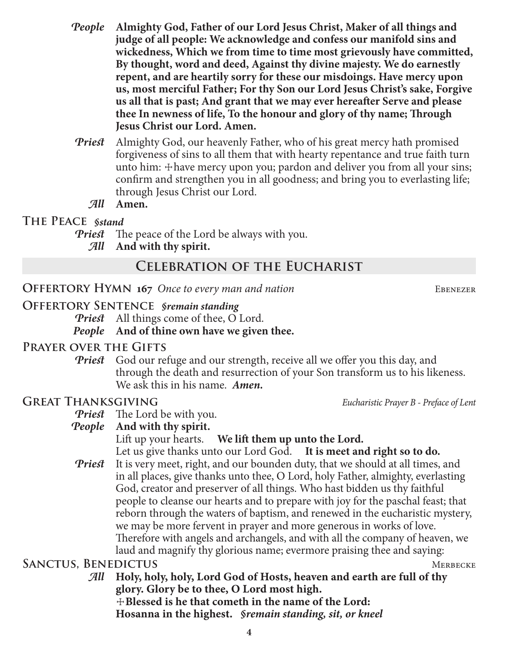- *People* **Almighty God, Father of our Lord Jesus Christ, Maker of all things and judge of all people: We acknowledge and confess our manifold sins and wickedness, Which we from time to time most grievously have committed, By thought, word and deed, Against thy divine majesty. We do earnestly repent, and are heartily sorry for these our misdoings. Have mercy upon us, most merciful Father; For thy Son our Lord Jesus Christ's sake, Forgive us all that is past; And grant that we may ever hereafter Serve and please thee In newness of life, To the honour and glory of thy name; Through Jesus Christ our Lord. Amen.**
- *Priest* Almighty God, our heavenly Father, who of his great mercy hath promised forgiveness of sins to all them that with hearty repentance and true faith turn unto him:  $\pm$  have mercy upon you; pardon and deliver you from all your sins; confirm and strengthen you in all goodness; and bring you to everlasting life; through Jesus Christ our Lord.

*All* **Amen.**

#### **The Peace** *§stand*

- *Priest* The peace of the Lord be always with you.
	- *All* **And with thy spirit.**

# **Celebration of the Eucharist**

#### **OFFERTORY HYMN 167** Once to every man and nation EBENEZER

#### **Offertory Sentence** *§remain standing*

*Priest* All things come of thee, O Lord.

*People* **And of thine own have we given thee.**

## **Prayer over the Gifts**

*Priest* God our refuge and our strength, receive all we offer you this day, and through the death and resurrection of your Son transform us to his likeness. We ask this in his name. *Amen.*

## **Great Thanksgiving** *Eucharistic Prayer B - Preface of Lent*

*Priest* The Lord be with you.

## *People* **And with thy spirit.**

Lift up your hearts. **We lift them up unto the Lord.**

Let us give thanks unto our Lord God. **It is meet and right so to do.**

*Priest* It is very meet, right, and our bounden duty, that we should at all times, and in all places, give thanks unto thee, O Lord, holy Father, almighty, everlasting God, creator and preserver of all things. Who hast bidden us thy faithful people to cleanse our hearts and to prepare with joy for the paschal feast; that reborn through the waters of baptism, and renewed in the eucharistic mystery, we may be more fervent in prayer and more generous in works of love. Therefore with angels and archangels, and with all the company of heaven, we laud and magnify thy glorious name; evermore praising thee and saying:

## SANCTUS, BENEDICTUS MERBECKE

*All* **Holy, holy, holy, Lord God of Hosts, heaven and earth are full of thy glory. Glory be to thee, O Lord most high.** ☩**Blessed is he that cometh in the name of the Lord:**

**Hosanna in the highest.** *§remain standing, sit, or kneel*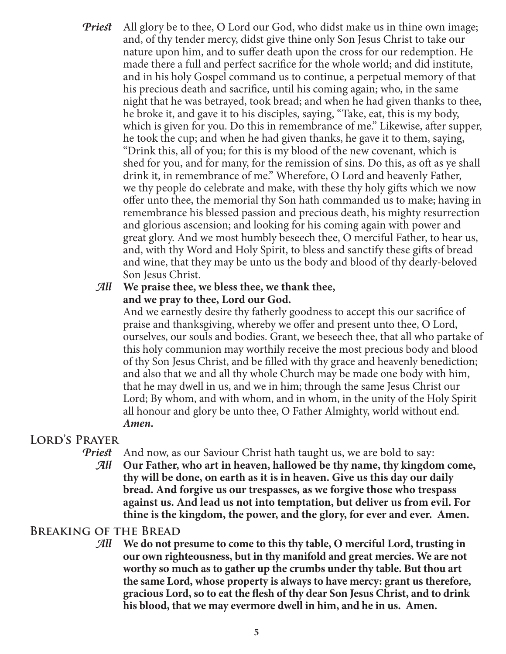*Priest* All glory be to thee, O Lord our God, who didst make us in thine own image; and, of thy tender mercy, didst give thine only Son Jesus Christ to take our nature upon him, and to suffer death upon the cross for our redemption. He made there a full and perfect sacrifice for the whole world; and did institute, and in his holy Gospel command us to continue, a perpetual memory of that his precious death and sacrifice, until his coming again; who, in the same night that he was betrayed, took bread; and when he had given thanks to thee, he broke it, and gave it to his disciples, saying, "Take, eat, this is my body, which is given for you. Do this in remembrance of me." Likewise, after supper, he took the cup; and when he had given thanks, he gave it to them, saying, "Drink this, all of you; for this is my blood of the new covenant, which is shed for you, and for many, for the remission of sins. Do this, as oft as ye shall drink it, in remembrance of me." Wherefore, O Lord and heavenly Father, we thy people do celebrate and make, with these thy holy gifts which we now offer unto thee, the memorial thy Son hath commanded us to make; having in remembrance his blessed passion and precious death, his mighty resurrection and glorious ascension; and looking for his coming again with power and great glory. And we most humbly beseech thee, O merciful Father, to hear us, and, with thy Word and Holy Spirit, to bless and sanctify these gifts of bread and wine, that they may be unto us the body and blood of thy dearly-beloved Son Jesus Christ.

#### *All* **We praise thee, we bless thee, we thank thee, and we pray to thee, Lord our God.**

 And we earnestly desire thy fatherly goodness to accept this our sacrifice of praise and thanksgiving, whereby we offer and present unto thee, O Lord, ourselves, our souls and bodies. Grant, we beseech thee, that all who partake of this holy communion may worthily receive the most precious body and blood of thy Son Jesus Christ, and be filled with thy grace and heavenly benediction; and also that we and all thy whole Church may be made one body with him, that he may dwell in us, and we in him; through the same Jesus Christ our Lord; By whom, and with whom, and in whom, in the unity of the Holy Spirit all honour and glory be unto thee, O Father Almighty, world without end. *Amen.*

## **Lord's Prayer**

- *Priest* And now, as our Saviour Christ hath taught us, we are bold to say:
	- *All* **Our Father, who art in heaven, hallowed be thy name, thy kingdom come, thy will be done, on earth as it is in heaven. Give us this day our daily bread. And forgive us our trespasses, as we forgive those who trespass against us. And lead us not into temptation, but deliver us from evil. For thine is the kingdom, the power, and the glory, for ever and ever. Amen.**

## **Breaking of the Bread**

*All* **We do not presume to come to this thy table, O merciful Lord, trusting in our own righteousness, but in thy manifold and great mercies. We are not worthy so much as to gather up the crumbs under thy table. But thou art the same Lord, whose property is always to have mercy: grant us therefore, gracious Lord, so to eat the flesh of thy dear Son Jesus Christ, and to drink his blood, that we may evermore dwell in him, and he in us. Amen.**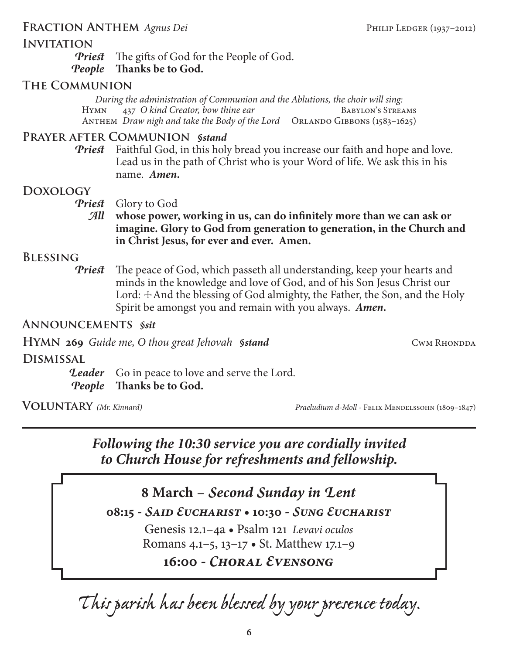## FRACTION ANTHEM *Agnus Dei* Philip Ledger (1937–2012)

## **INVITATION**

*Priest* The gifts of God for the People of God. *People* **Thanks be to God.**

## **The Communion**

*During the administration of Communion and the Ablutions, the choir will sing:* HYMN 437 *O kind Creator, bow thine ear* ANTHEM *Draw nigh and take the Body of the Lord* ORLANDO GIBBONS (1583-1625)

## **Prayer after Communion** *§stand*

*Priest* Faithful God, in this holy bread you increase our faith and hope and love. Lead us in the path of Christ who is your Word of life. We ask this in his name. *Amen.*

## **Doxology**

*Priest* Glory to God

*All* **whose power, working in us, can do infinitely more than we can ask or imagine. Glory to God from generation to generation, in the Church and in Christ Jesus, for ever and ever. Amen.**

#### **Blessing**

*Priest* The peace of God, which passeth all understanding, keep your hearts and minds in the knowledge and love of God, and of his Son Jesus Christ our Lord: +And the blessing of God almighty, the Father, the Son, and the Holy Spirit be amongst you and remain with you always. *Amen.*

### **Announcements** *§sit*

**HYMN** 269 *Guide me, O thou great Jehovah §stand* CWM **CWM** RHONDDA

**Dismissal**

**Leader** Go in peace to love and serve the Lord. *People* **Thanks be to God.**

**VOLUNTARY** (Mr. Kinnard) *Praeludium d-Moll - Felix Mendelssohn* (1809–1847)

# *Following the 10:30 service you are cordially invited to Church House for refreshments and fellowship.*

# **8 March** – *Second Sunday in Lent*

**08:15 -** *Said Eucharist* **• 10:30 -** *Sung Eucharist*

Genesis 12.1–4a • Psalm 121 *Levavi oculos* Romans 4.1–5, 13–17 • St. Matthew 17.1–9

**16:00 -** *Choral Evensong*

*This parish has been blessed by your presence today.*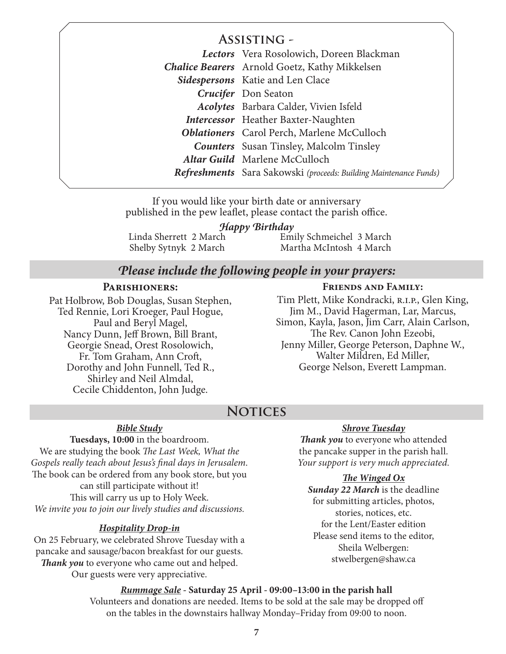## **Assisting -**

|  | Lectors Vera Rosolowich, Doreen Blackman                                 |
|--|--------------------------------------------------------------------------|
|  | <b>Chalice Bearers</b> Arnold Goetz, Kathy Mikkelsen                     |
|  | Sidespersons Katie and Len Clace                                         |
|  | Crucifer Don Seaton                                                      |
|  | <b>Acolytes</b> Barbara Calder, Vivien Isfeld                            |
|  | <b>Intercessor</b> Heather Baxter-Naughten                               |
|  | <b>Oblationers</b> Carol Perch, Marlene McCulloch                        |
|  | <b>Counters</b> Susan Tinsley, Malcolm Tinsley                           |
|  | Altar Guild Marlene McCulloch                                            |
|  | <b>Refreshments</b> Sara Sakowski (proceeds: Building Maintenance Funds) |
|  |                                                                          |

If you would like your birth date or anniversary published in the pew leaflet, please contact the parish office.

#### *Happy Birthday*

Linda Sherrett 2 March Shelby Sytnyk 2 March

Emily Schmeichel 3 March Martha McIntosh 4 March

## *Please include the following people in your prayers:*

#### **Parishioners:**

Pat Holbrow, Bob Douglas, Susan Stephen, Ted Rennie, Lori Kroeger, Paul Hogue, Paul and Beryl Magel, Nancy Dunn, Jeff Brown, Bill Brant, Georgie Snead, Orest Rosolowich, Fr. Tom Graham, Ann Croft, Dorothy and John Funnell, Ted R., Shirley and Neil Almdal, Cecile Chiddenton, John Judge.

#### **Friends and Family:**

Tim Plett, Mike Kondracki, r.i.p., Glen King, Jim M., David Hagerman, Lar, Marcus, Simon, Kayla, Jason, Jim Carr, Alain Carlson, The Rev. Canon John Ezeobi, Jenny Miller, George Peterson, Daphne W., Walter Mildren, Ed Miller, George Nelson, Everett Lampman.

## **Notices**

#### *Bible Study*

**Tuesdays, 10:00** in the boardroom. We are studying the book *The Last Week, What the Gospels really teach about Jesus's final days in Jerusalem*. The book can be ordered from any book store, but you can still participate without it! This will carry us up to Holy Week. *We invite you to join our lively studies and discussions.*

#### *Hospitality Drop-in*

On 25 February, we celebrated Shrove Tuesday with a pancake and sausage/bacon breakfast for our guests. *Thank you* to everyone who came out and helped. Our guests were very appreciative.

#### *Shrove Tuesday*

*Thank you* to everyone who attended the pancake supper in the parish hall. *Your support is very much appreciated.*

#### *The Winged Ox*

*Sunday 22 March* is the deadline for submitting articles, photos, stories, notices, etc. for the Lent/Easter edition Please send items to the editor, Sheila Welbergen: stwelbergen@shaw.ca

*Rummage Sale -* **Saturday 25 April - 09:00–13:00 in the parish hall** Volunteers and donations are needed. Items to be sold at the sale may be dropped off on the tables in the downstairs hallway Monday–Friday from 09:00 to noon.